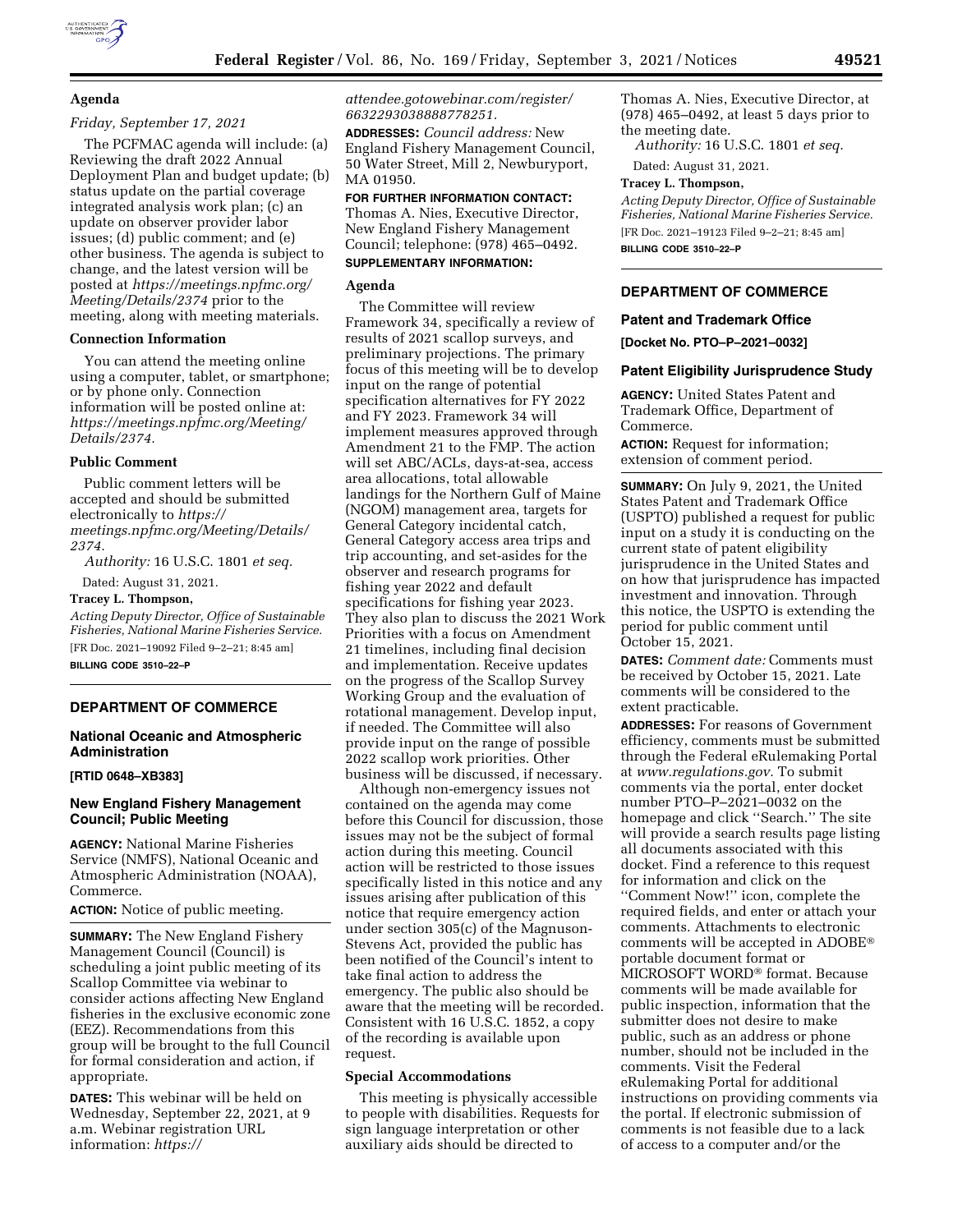## **Agenda**

### *Friday, September 17, 2021*

The PCFMAC agenda will include: (a) Reviewing the draft 2022 Annual Deployment Plan and budget update; (b) status update on the partial coverage integrated analysis work plan; (c) an update on observer provider labor issues; (d) public comment; and (e) other business. The agenda is subject to change, and the latest version will be posted at *[https://meetings.npfmc.org/](https://meetings.npfmc.org/Meeting/Details/2374) [Meeting/Details/2374](https://meetings.npfmc.org/Meeting/Details/2374)* prior to the meeting, along with meeting materials.

### **Connection Information**

You can attend the meeting online using a computer, tablet, or smartphone; or by phone only. Connection information will be posted online at: *[https://meetings.npfmc.org/Meeting/](https://meetings.npfmc.org/Meeting/Details/2374)  [Details/2374.](https://meetings.npfmc.org/Meeting/Details/2374)* 

#### **Public Comment**

Public comment letters will be accepted and should be submitted electronically to *[https://](https://meetings.npfmc.org/Meeting/Details/2374) [meetings.npfmc.org/Meeting/Details/](https://meetings.npfmc.org/Meeting/Details/2374) [2374.](https://meetings.npfmc.org/Meeting/Details/2374)* 

*Authority:* 16 U.S.C. 1801 *et seq.* 

Dated: August 31, 2021.

**Tracey L. Thompson,** 

*Acting Deputy Director, Office of Sustainable Fisheries, National Marine Fisheries Service.*  [FR Doc. 2021–19092 Filed 9–2–21; 8:45 am] **BILLING CODE 3510–22–P** 

# **DEPARTMENT OF COMMERCE**

### **National Oceanic and Atmospheric Administration**

### **[RTID 0648–XB383]**

## **New England Fishery Management Council; Public Meeting**

**AGENCY:** National Marine Fisheries Service (NMFS), National Oceanic and Atmospheric Administration (NOAA), Commerce.

**ACTION:** Notice of public meeting.

**SUMMARY:** The New England Fishery Management Council (Council) is scheduling a joint public meeting of its Scallop Committee via webinar to consider actions affecting New England fisheries in the exclusive economic zone (EEZ). Recommendations from this group will be brought to the full Council for formal consideration and action, if appropriate.

**DATES:** This webinar will be held on Wednesday, September 22, 2021, at 9 a.m. Webinar registration URL information: *[https://](https://attendee.gotowebinar.com/register/6632293038888778251)*

*[attendee.gotowebinar.com/register/](https://attendee.gotowebinar.com/register/6632293038888778251) [6632293038888778251.](https://attendee.gotowebinar.com/register/6632293038888778251)* 

**ADDRESSES:** *Council address:* New England Fishery Management Council, 50 Water Street, Mill 2, Newburyport, MA 01950.

**FOR FURTHER INFORMATION CONTACT:**  Thomas A. Nies, Executive Director, New England Fishery Management Council; telephone: (978) 465–0492. **SUPPLEMENTARY INFORMATION:** 

### **Agenda**

The Committee will review Framework 34, specifically a review of results of 2021 scallop surveys, and preliminary projections. The primary focus of this meeting will be to develop input on the range of potential specification alternatives for FY 2022 and FY 2023. Framework 34 will implement measures approved through Amendment 21 to the FMP. The action will set ABC/ACLs, days-at-sea, access area allocations, total allowable landings for the Northern Gulf of Maine (NGOM) management area, targets for General Category incidental catch, General Category access area trips and trip accounting, and set-asides for the observer and research programs for fishing year 2022 and default specifications for fishing year 2023. They also plan to discuss the 2021 Work Priorities with a focus on Amendment 21 timelines, including final decision and implementation. Receive updates on the progress of the Scallop Survey Working Group and the evaluation of rotational management. Develop input, if needed. The Committee will also provide input on the range of possible 2022 scallop work priorities. Other business will be discussed, if necessary.

Although non-emergency issues not contained on the agenda may come before this Council for discussion, those issues may not be the subject of formal action during this meeting. Council action will be restricted to those issues specifically listed in this notice and any issues arising after publication of this notice that require emergency action under section 305(c) of the Magnuson-Stevens Act, provided the public has been notified of the Council's intent to take final action to address the emergency. The public also should be aware that the meeting will be recorded. Consistent with 16 U.S.C. 1852, a copy of the recording is available upon request.

#### **Special Accommodations**

This meeting is physically accessible to people with disabilities. Requests for sign language interpretation or other auxiliary aids should be directed to

Thomas A. Nies, Executive Director, at (978) 465–0492, at least 5 days prior to the meeting date.

*Authority:* 16 U.S.C. 1801 *et seq.* 

Dated: August 31, 2021.

#### **Tracey L. Thompson,**

*Acting Deputy Director, Office of Sustainable Fisheries, National Marine Fisheries Service.*  [FR Doc. 2021–19123 Filed 9–2–21; 8:45 am] **BILLING CODE 3510–22–P** 

## **DEPARTMENT OF COMMERCE**

### **Patent and Trademark Office**

**[Docket No. PTO–P–2021–0032]** 

#### **Patent Eligibility Jurisprudence Study**

**AGENCY:** United States Patent and Trademark Office, Department of Commerce.

**ACTION:** Request for information; extension of comment period.

**SUMMARY:** On July 9, 2021, the United States Patent and Trademark Office (USPTO) published a request for public input on a study it is conducting on the current state of patent eligibility jurisprudence in the United States and on how that jurisprudence has impacted investment and innovation. Through this notice, the USPTO is extending the period for public comment until October 15, 2021.

**DATES:** *Comment date:* Comments must be received by October 15, 2021. Late comments will be considered to the extent practicable.

**ADDRESSES:** For reasons of Government efficiency, comments must be submitted through the Federal eRulemaking Portal at *[www.regulations.gov.](http://www.regulations.gov)* To submit comments via the portal, enter docket number PTO–P–2021–0032 on the homepage and click ''Search.'' The site will provide a search results page listing all documents associated with this docket. Find a reference to this request for information and click on the ''Comment Now!'' icon, complete the required fields, and enter or attach your comments. Attachments to electronic comments will be accepted in ADOBE® portable document format or MICROSOFT WORD® format. Because comments will be made available for public inspection, information that the submitter does not desire to make public, such as an address or phone number, should not be included in the comments. Visit the Federal eRulemaking Portal for additional instructions on providing comments via the portal. If electronic submission of comments is not feasible due to a lack of access to a computer and/or the